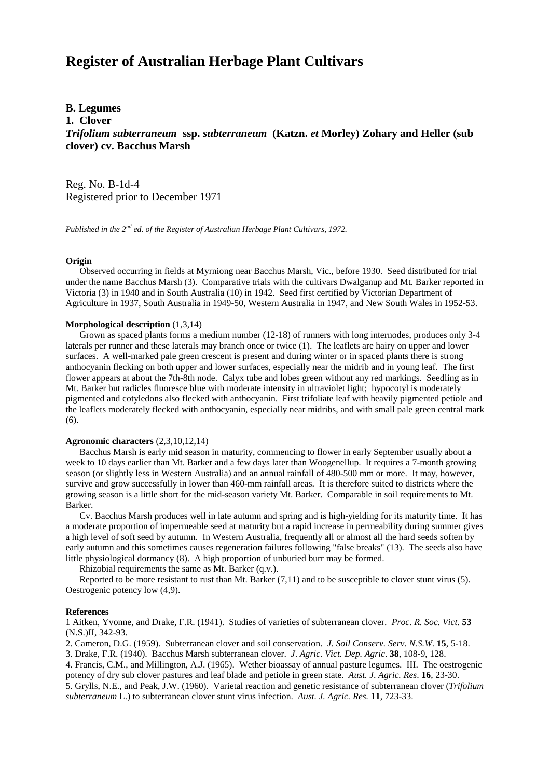# **Register of Australian Herbage Plant Cultivars**

# **B. Legumes**

## **1. Clover**

*Trifolium subterraneum* **ssp.** *subterraneum* **(Katzn.** *et* **Morley) Zohary and Heller (sub clover) cv. Bacchus Marsh**

Reg. No. B-1d-4 Registered prior to December 1971

*Published in the 2nd ed. of the Register of Australian Herbage Plant Cultivars, 1972.*

### **Origin**

 Observed occurring in fields at Myrniong near Bacchus Marsh, Vic., before 1930. Seed distributed for trial under the name Bacchus Marsh (3). Comparative trials with the cultivars Dwalganup and Mt. Barker reported in Victoria (3) in 1940 and in South Australia (10) in 1942. Seed first certified by Victorian Department of Agriculture in 1937, South Australia in 1949-50, Western Australia in 1947, and New South Wales in 1952-53.

#### **Morphological description** (1,3,14)

 Grown as spaced plants forms a medium number (12-18) of runners with long internodes, produces only 3-4 laterals per runner and these laterals may branch once or twice (1). The leaflets are hairy on upper and lower surfaces. A well-marked pale green crescent is present and during winter or in spaced plants there is strong anthocyanin flecking on both upper and lower surfaces, especially near the midrib and in young leaf. The first flower appears at about the 7th-8th node. Calyx tube and lobes green without any red markings. Seedling as in Mt. Barker but radicles fluoresce blue with moderate intensity in ultraviolet light; hypocotyl is moderately pigmented and cotyledons also flecked with anthocyanin. First trifoliate leaf with heavily pigmented petiole and the leaflets moderately flecked with anthocyanin, especially near midribs, and with small pale green central mark (6).

## **Agronomic characters** (2,3,10,12,14)

 Bacchus Marsh is early mid season in maturity, commencing to flower in early September usually about a week to 10 days earlier than Mt. Barker and a few days later than Woogenellup. It requires a 7-month growing season (or slightly less in Western Australia) and an annual rainfall of 480-500 mm or more. It may, however, survive and grow successfully in lower than 460-mm rainfall areas. It is therefore suited to districts where the growing season is a little short for the mid-season variety Mt. Barker. Comparable in soil requirements to Mt. Barker.

 Cv. Bacchus Marsh produces well in late autumn and spring and is high-yielding for its maturity time. It has a moderate proportion of impermeable seed at maturity but a rapid increase in permeability during summer gives a high level of soft seed by autumn. In Western Australia, frequently all or almost all the hard seeds soften by early autumn and this sometimes causes regeneration failures following "false breaks" (13). The seeds also have little physiological dormancy (8). A high proportion of unburied burr may be formed.

Rhizobial requirements the same as Mt. Barker (q.v.).

 Reported to be more resistant to rust than Mt. Barker (7,11) and to be susceptible to clover stunt virus (5). Oestrogenic potency low (4,9).

#### **References**

1 Aitken, Yvonne, and Drake, F.R. (1941). Studies of varieties of subterranean clover. *Proc. R. Soc. Vict.* **53** (N.S.)II, 342-93.

2. Cameron, D.G. (1959). Subterranean clover and soil conservation. *J. Soil Conserv. Serv. N.S.W*. **15**, 5-18.

3. Drake, F.R. (1940). Bacchus Marsh subterranean clover. *J*. *Agric. Vict. Dep. Agric*. **38**, 108-9, 128.

4. Francis, C.M., and Millington, A.J. (1965). Wether bioassay of annual pasture legumes. III. The oestrogenic potency of dry sub clover pastures and leaf blade and petiole in green state. *Aust. J*. *Agric. Res*. **16**, 23-30. 5. Grylls, N.E., and Peak, J.W. (1960). Varietal reaction and genetic resistance of subterranean clover (*Trifolium*

*subterraneum* L.) to subterranean clover stunt virus infection. *Aust. J. Agric. Res.* **11**, 723-33.